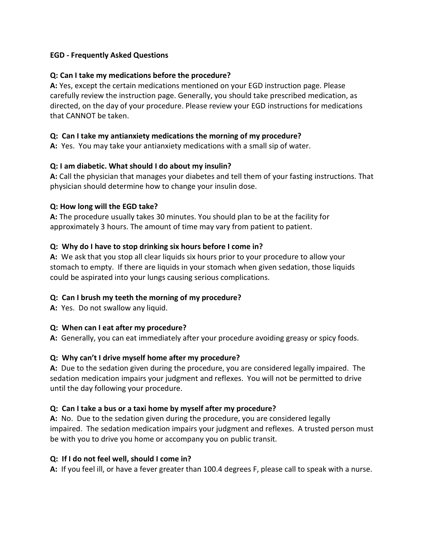## EGD - Frequently Asked Questions

## Q: Can I take my medications before the procedure?

A: Yes, except the certain medications mentioned on your EGD instruction page. Please carefully review the instruction page. Generally, you should take prescribed medication, as directed, on the day of your procedure. Please review your EGD instructions for medications that CANNOT be taken.

## Q: Can I take my antianxiety medications the morning of my procedure?

A: Yes. You may take your antianxiety medications with a small sip of water.

## Q: I am diabetic. What should I do about my insulin?

A: Call the physician that manages your diabetes and tell them of your fasting instructions. That physician should determine how to change your insulin dose.

#### Q: How long will the EGD take?

A: The procedure usually takes 30 minutes. You should plan to be at the facility for approximately 3 hours. The amount of time may vary from patient to patient.

## Q: Why do I have to stop drinking six hours before I come in?

A: We ask that you stop all clear liquids six hours prior to your procedure to allow your stomach to empty. If there are liquids in your stomach when given sedation, those liquids could be aspirated into your lungs causing serious complications.

# Q: Can I brush my teeth the morning of my procedure?

A: Yes. Do not swallow any liquid.

# Q: When can I eat after my procedure?

A: Generally, you can eat immediately after your procedure avoiding greasy or spicy foods.

# Q: Why can't I drive myself home after my procedure?

A: Due to the sedation given during the procedure, you are considered legally impaired. The sedation medication impairs your judgment and reflexes. You will not be permitted to drive until the day following your procedure.

#### Q: Can I take a bus or a taxi home by myself after my procedure?

A: No. Due to the sedation given during the procedure, you are considered legally impaired. The sedation medication impairs your judgment and reflexes. A trusted person must be with you to drive you home or accompany you on public transit.

#### Q: If I do not feel well, should I come in?

A: If you feel ill, or have a fever greater than 100.4 degrees F, please call to speak with a nurse.